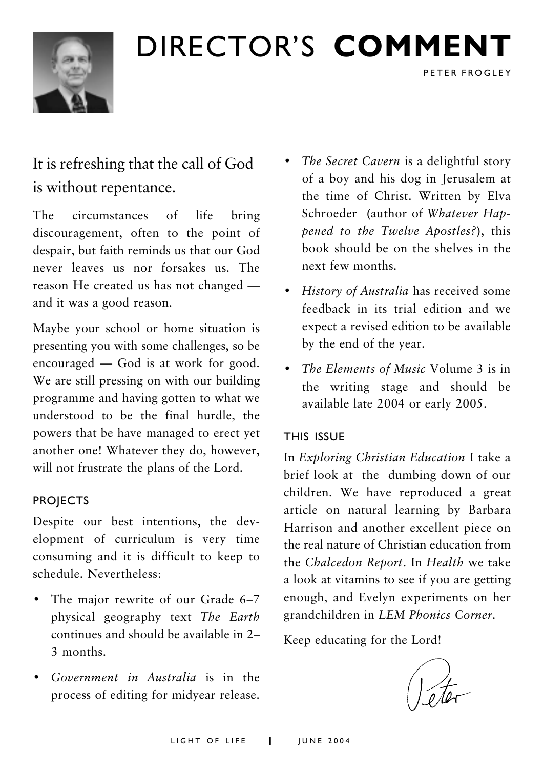

## DIRECTOR'S COMMENT

It is refreshing that the call of God is without repentance.

circumstances of The  $l$ ife bring discouragement, often to the point of despair, but faith reminds us that our God never leaves us nor forsakes us. The reason He created us has not changed and it was a good reason.

Maybe your school or home situation is presenting you with some challenges, so be encouraged  $-$  God is at work for good. We are still pressing on with our building programme and having gotten to what we understood to be the final hurdle, the powers that be have managed to erect yet another one! Whatever they do, however, will not frustrate the plans of the Lord.

#### **PROJECTS**

Despite our best intentions, the development of curriculum is very time consuming and it is difficult to keep to schedule. Nevertheless:

- The major rewrite of our Grade 6-7 physical geography text The Earth continues and should be available in 2-3 months
- Government in Australia is in the process of editing for midyear release.

• The Secret Cavern is a delightful story of a boy and his dog in Jerusalem at the time of Christ. Written by Elva Schroeder (author of Whatever Happened to the Twelve Apostles?), this book should be on the shelves in the next few months.

PETER FROGLEY

- History of Australia has received some feedback in its trial edition and we expect a revised edition to be available by the end of the year.
- The Elements of Music Volume 3 is in the writing stage and should be available late 2004 or early 2005.

#### THIS ISSUE

In Exploring Christian Education I take a brief look at the dumbing down of our children. We have reproduced a great article on natural learning by Barbara Harrison and another excellent piece on the real nature of Christian education from the Chalcedon Report. In Health we take a look at vitamins to see if you are getting enough, and Evelyn experiments on her grandchildren in LEM Phonics Corner.

Keep educating for the Lord!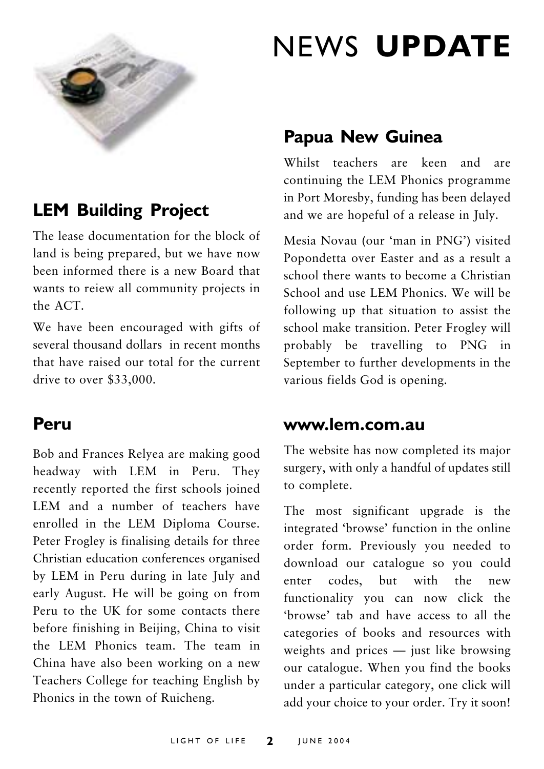

### **LEM Building Project**

The lease documentation for the block of land is being prepared, but we have now been informed there is a new Board that wants to reiew all community projects in the ACT.

We have been encouraged with gifts of several thousand dollars in recent months that have raised our total for the current drive to over \$33,000.

### Peru

Bob and Frances Relyea are making good headway with LEM in Peru. They recently reported the first schools joined LEM and a number of teachers have enrolled in the LEM Diploma Course. Peter Frogley is finalising details for three Christian education conferences organised by LEM in Peru during in late July and early August. He will be going on from Peru to the UK for some contacts there before finishing in Beijing, China to visit the LEM Phonics team. The team in China have also been working on a new Teachers College for teaching English by Phonics in the town of Ruicheng.

## **NEWS UPDATE**

### **Papua New Guinea**

Whilst teachers are keen and are continuing the LEM Phonics programme in Port Moresby, funding has been delayed and we are hopeful of a release in July.

Mesia Novau (our 'man in PNG') visited Popondetta over Easter and as a result a school there wants to become a Christian School and use I FM Phonics, We will be following up that situation to assist the school make transition. Peter Frogley will probably be travelling to PNG in September to further developments in the various fields God is opening.

#### www.lem.com.au

The website has now completed its major surgery, with only a handful of updates still to complete.

The most significant upgrade is the integrated 'browse' function in the online order form. Previously you needed to download our catalogue so you could enter codes, but with the new functionality you can now click the 'browse' tab and have access to all the categories of books and resources with weights and prices - just like browsing our catalogue. When you find the books under a particular category, one click will add your choice to your order. Try it soon!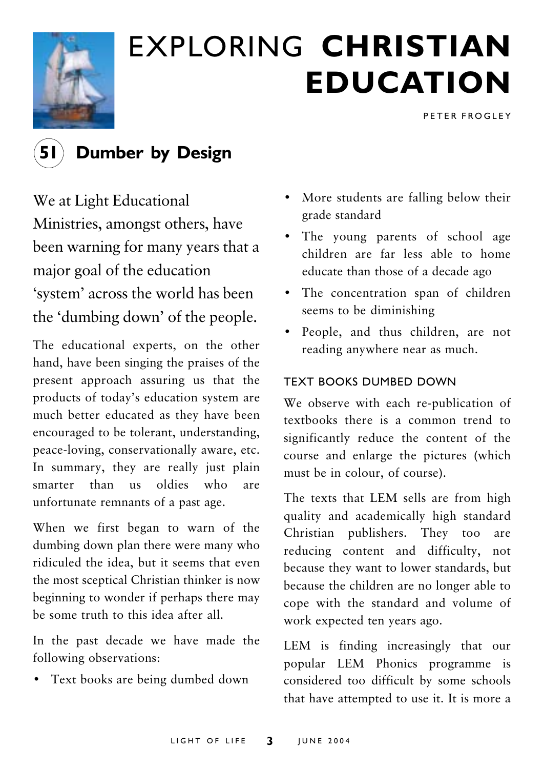

## **EXPLORING CHRISTIAN EDUCATION**

PETER FROGLEY



### **Dumber by Design**

We at Light Educational Ministries, amongst others, have been warning for many years that a major goal of the education 'system' across the world has been the 'dumbing down' of the people.

The educational experts, on the other hand, have been singing the praises of the present approach assuring us that the products of today's education system are much better educated as they have been encouraged to be tolerant, understanding, peace-loving, conservationally aware, etc. In summary, they are really just plain smarter than us oldies who are unfortunate remnants of a past age.

When we first began to warn of the dumbing down plan there were many who ridiculed the idea, but it seems that even the most sceptical Christian thinker is now beginning to wonder if perhaps there may he some truth to this idea after all

In the past decade we have made the following observations:

• Text books are being dumbed down

- More students are falling below their grade standard
- The young parents of school age children are far less able to home educate than those of a decade ago
- The concentration span of children seems to be diminishing
- People, and thus children, are not reading anywhere near as much.

#### **TEXT BOOKS DUMBED DOWN**

We observe with each re-publication of textbooks there is a common trend to significantly reduce the content of the course and enlarge the pictures (which must be in colour, of course).

The texts that LEM sells are from high quality and academically high standard Christian publishers. They too are reducing content and difficulty, not because they want to lower standards, but because the children are no longer able to cope with the standard and volume of work expected ten years ago.

LEM is finding increasingly that our popular LEM Phonics programme is considered too difficult by some schools that have attempted to use it. It is more a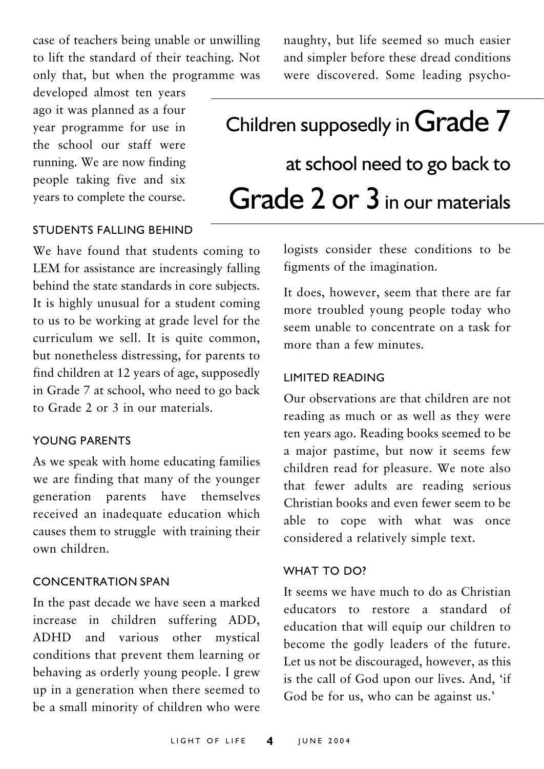case of teachers being unable or unwilling to lift the standard of their teaching. Not only that, but when the programme was

developed almost ten years ago it was planned as a four vear programme for use in the school our staff were running. We are now finding people taking five and six years to complete the course. naughty, but life seemed so much easier and simpler before these dread conditions were discovered. Some leading psycho-

## Children supposedly in Grade 7 at school need to go back to Grade 2 or 3 in our materials

#### **STUDENTS FALLING REHIND**

We have found that students coming to LEM for assistance are increasingly falling behind the state standards in core subjects. It is highly unusual for a student coming to us to be working at grade level for the curriculum we sell. It is quite common. but nonetheless distressing, for parents to find children at 12 years of age, supposedly in Grade 7 at school, who need to go back to Grade 2 or 3 in our materials

#### YOUNG PARENTS

As we speak with home educating families we are finding that many of the younger have themselves generation parents received an inadequate education which causes them to struggle with training their own children

#### **CONCENTRATION SPAN**

In the past decade we have seen a marked increase in children suffering ADD, ADHD and various other mystical conditions that prevent them learning or behaving as orderly young people. I grew up in a generation when there seemed to be a small minority of children who were

logists consider these conditions to be figments of the imagination.

It does, however, seem that there are far more troubled young people today who seem unable to concentrate on a task for more than a few minutes

#### **I IMITED READING**

Our observations are that children are not reading as much or as well as they were ten years ago. Reading books seemed to be a major pastime, but now it seems few children read for pleasure. We note also that fewer adults are reading serious Christian books and even fewer seem to be able to cope with what was once considered a relatively simple text.

#### WHAT TO DO?

It seems we have much to do as Christian educators to restore a standard of education that will equip our children to become the godly leaders of the future. Let us not be discouraged, however, as this is the call of God upon our lives. And, 'if God be for us, who can be against us.'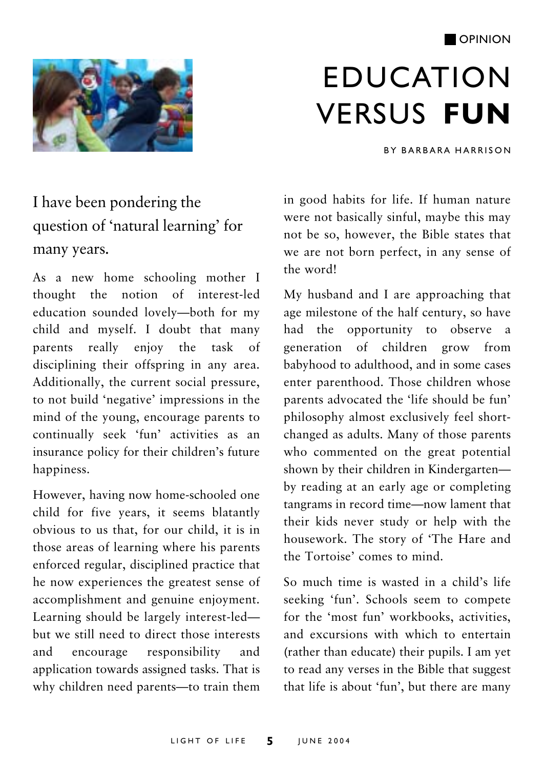#### **OPINION**



## **EDUCATION VERSUS FUN**

**BY BARBARA HARRISON** 

## I have been pondering the question of 'natural learning' for many years.

As a new home schooling mother I thought the notion of interest-led education sounded lovely-both for my child and myself. I doubt that many parents really enjoy the task of disciplining their offspring in any area. Additionally, the current social pressure, to not build 'negative' impressions in the mind of the young, encourage parents to continually seek 'fun' activities as an insurance policy for their children's future happiness.

However, having now home-schooled one child for five years, it seems blatantly obvious to us that, for our child, it is in those areas of learning where his parents enforced regular, disciplined practice that he now experiences the greatest sense of accomplishment and genuine enjoyment. Learning should be largely interest-ledbut we still need to direct those interests responsibility and encourage and application towards assigned tasks. That is why children need parents-to train them

in good habits for life. If human nature were not basically sinful, maybe this may not be so, however, the Bible states that we are not born perfect, in any sense of the word!

My husband and I are approaching that age milestone of the half century, so have had the opportunity to observe a generation of children grow from babyhood to adulthood, and in some cases enter parenthood. Those children whose parents advocated the 'life should be fun' philosophy almost exclusively feel shortchanged as adults. Many of those parents who commented on the great potential shown by their children in Kindergartenby reading at an early age or completing tangrams in record time-now lament that their kids never study or help with the housework. The story of 'The Hare and the Tortoise' comes to mind.

So much time is wasted in a child's life seeking 'fun'. Schools seem to compete for the 'most fun' workbooks, activities, and excursions with which to entertain (rather than educate) their pupils. I am yet to read any verses in the Bible that suggest that life is about 'fun', but there are many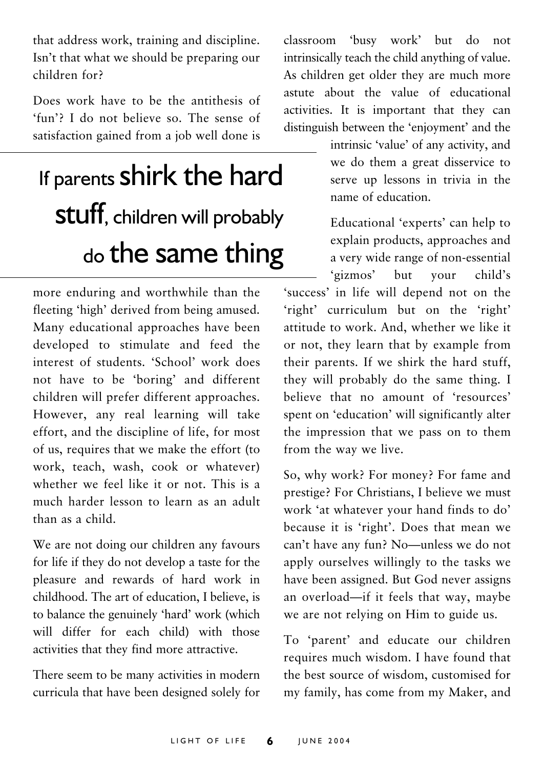that address work, training and discipline. Isn't that what we should be preparing our children for?

Does work have to be the antithesis of 'fun'? I do not believe so. The sense of satisfaction gained from a job well done is

## If parents shirk the hard **Stuff**, children will probably do the same thing

more enduring and worthwhile than the fleeting 'high' derived from being amused. Many educational approaches have been developed to stimulate and feed the interest of students 'School' work does not have to be 'boring' and different children will prefer different approaches. However, any real learning will take effort, and the discipline of life, for most of us, requires that we make the effort (to work, teach, wash, cook or whatever) whether we feel like it or not This is a much harder lesson to learn as an adult than as a child

We are not doing our children any favours for life if they do not develop a taste for the pleasure and rewards of hard work in childhood. The art of education, I believe, is to balance the genuinely 'hard' work (which will differ for each child) with those activities that they find more attractive.

There seem to be many activities in modern curricula that have been designed solely for classroom 'busy work' but do  $n \alpha t$ intrinsically teach the child anything of value. As children get older they are much more astute about the value of educational activities. It is important that they can distinguish between the 'enjoyment' and the

> intrinsic 'value' of any activity, and we do them a great disservice to serve up lessons in trivia in the name of education.

> Educational 'experts' can help to explain products, approaches and a very wide range of non-essential 'gizmos' but vour  $child's$

'success' in life will depend not on the 'right' curriculum but on the 'right' attitude to work. And, whether we like it or not, they learn that by example from their parents. If we shirk the hard stuff. they will probably do the same thing. I believe that no amount of 'resources' spent on 'education' will significantly alter the impression that we pass on to them from the way we live.

So, why work? For money? For fame and prestige? For Christians, I believe we must work 'at whatever your hand finds to do' because it is 'right'. Does that mean we can't have any fun? No-unless we do not apply ourselves willingly to the tasks we have been assigned. But God never assigns an overload-if it feels that way, maybe we are not relying on Him to guide us.

To 'parent' and educate our children requires much wisdom. I have found that the best source of wisdom customised for my family, has come from my Maker, and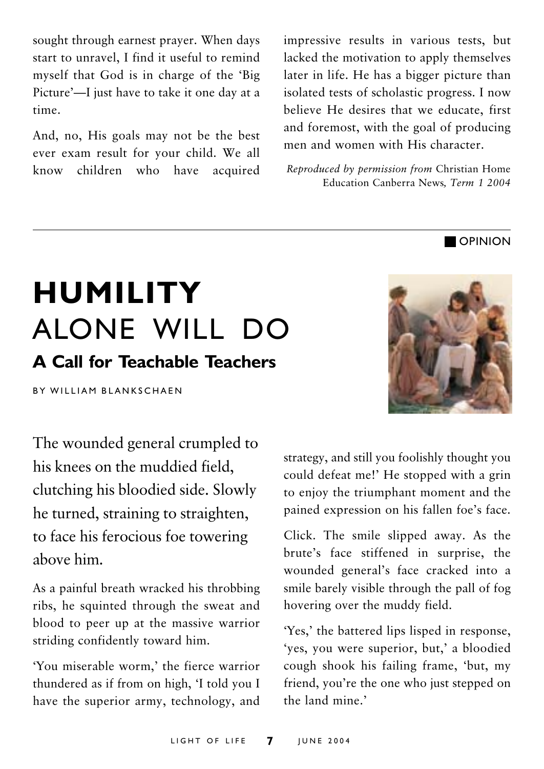sought through earnest prayer. When days start to unravel. I find it useful to remind myself that God is in charge of the 'Big Picture'—I just have to take it one day at a time.

And, no, His goals may not be the best ever exam result for your child. We all children who have  $k$ now acquired

impressive results in various tests, but lacked the motivation to apply themselves later in life. He has a bigger picture than isolated tests of scholastic progress. I now believe He desires that we educate, first and foremost, with the goal of producing men and women with His character.

Reproduced by permission from Christian Home Education Canberra News, Term 1 2004

## **HUMILITY** ALONE WILL DO **A Call for Teachable Teachers**

**BY WILLIAM BLANKSCHAFN** 

The wounded general crumpled to his knees on the muddied field. clutching his bloodied side. Slowly he turned, straining to straighten, to face his ferocious foe towering ahove him

As a painful breath wracked his throbbing ribs, he squinted through the sweat and blood to peer up at the massive warrior striding confidently toward him.

'You miserable worm,' the fierce warrior thundered as if from on high, 'I told you I have the superior army, technology, and strategy, and still you foolishly thought you could defeat me!' He stopped with a grin to enjoy the triumphant moment and the pained expression on his fallen foe's face.

Click. The smile slipped away. As the brute's face stiffened in surprise, the wounded general's face cracked into a smile barely visible through the pall of fog hovering over the muddy field.

'Yes,' the battered lips lisped in response, 'yes, you were superior, but,' a bloodied cough shook his failing frame, 'but, my friend, you're the one who just stepped on the land mine.'



**OPINION**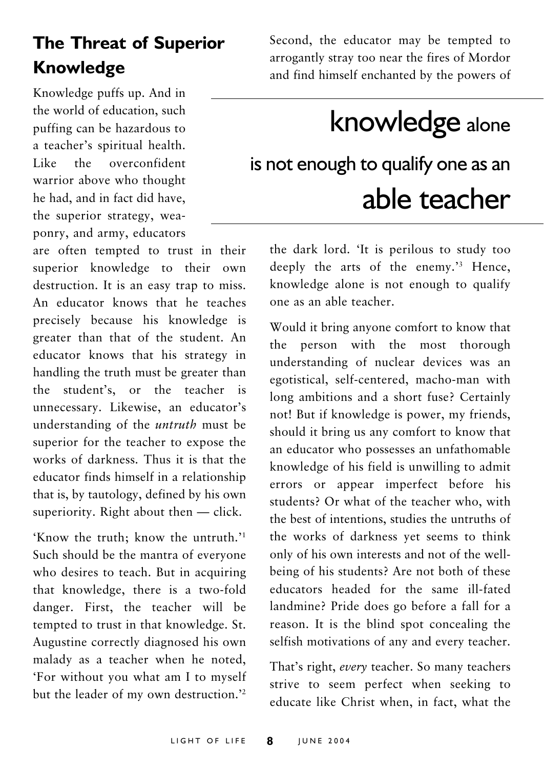## **The Threat of Superior Knowledge**

Knowledge puffs up. And in the world of education, such puffing can be hazardous to a teacher's spiritual health. Like the overconfident warrior above who thought he had, and in fact did have, the superior strategy, weaponry, and army, educators

are often tempted to trust in their superior knowledge to their own destruction. It is an easy trap to miss. An educator knows that he teaches precisely because his knowledge is greater than that of the student. An educator knows that his strategy in handling the truth must be greater than the student's, or the teacher is unnecessary. Likewise, an educator's understanding of the *untruth* must be superior for the teacher to expose the works of darkness. Thus it is that the educator finds himself in a relationship that is, by tautology, defined by his own superiority. Right about then - click.

'Know the truth; know the untruth.'<sup>1</sup> Such should be the mantra of everyone who desires to teach. But in acquiring that knowledge, there is a two-fold danger. First, the teacher will be tempted to trust in that knowledge. St. Augustine correctly diagnosed his own malady as a teacher when he noted, 'For without you what am I to myself but the leader of my own destruction." Second, the educator may be tempted to arrogantly stray too near the fires of Mordor and find himself enchanted by the powers of

## knowledge alone

## is not enough to qualify one as an able teacher

the dark lord. 'It is perilous to study too deeply the arts of the enemy.'<sup>3</sup> Hence, knowledge alone is not enough to qualify one as an able teacher.

Would it bring anyone comfort to know that the person with the most thorough understanding of nuclear devices was an egotistical, self-centered, macho-man with long ambitions and a short fuse? Certainly not! But if knowledge is power, my friends, should it bring us any comfort to know that an educator who possesses an unfathomable knowledge of his field is unwilling to admit errors or appear imperfect before his students? Or what of the teacher who, with the best of intentions studies the untruths of the works of darkness yet seems to think only of his own interests and not of the wellbeing of his students? Are not both of these educators headed for the same ill-fated landmine? Pride does go before a fall for a reason. It is the blind spot concealing the selfish motivations of any and every teacher.

That's right, every teacher. So many teachers strive to seem perfect when seeking to educate like Christ when, in fact, what the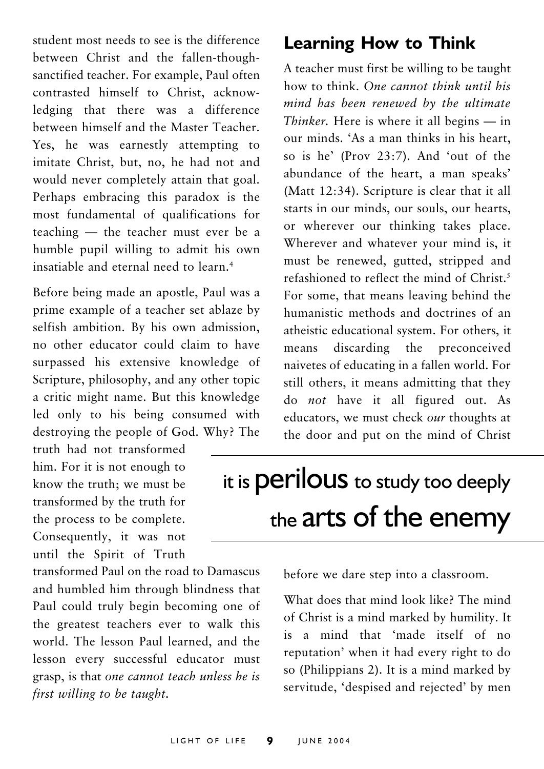student most needs to see is the difference between Christ and the fallen-thoughsanctified teacher. For example, Paul often contrasted himself to Christ, acknowledging that there was a difference between himself and the Master Teacher. Yes, he was earnestly attempting to imitate Christ, but, no, he had not and would never completely attain that goal. Perhaps embracing this paradox is the most fundamental of qualifications for teaching - the teacher must ever be a humble pupil willing to admit his own insatiable and eternal need to learn.<sup>4</sup>

Before being made an apostle, Paul was a prime example of a teacher set ablaze by selfish ambition. By his own admission, no other educator could claim to have surpassed his extensive knowledge of Scripture, philosophy, and any other topic a critic might name. But this knowledge led only to his being consumed with destroying the people of God. Why? The

truth had not transformed him. For it is not enough to know the truth: we must be transformed by the truth for the process to be complete. Consequently, it was not until the Spirit of Truth

transformed Paul on the road to Damascus and humbled him through blindness that Paul could truly begin becoming one of the greatest teachers ever to walk this world. The lesson Paul learned, and the lesson every successful educator must grasp, is that one cannot teach unless he is first willing to be taught.

### **Learning How to Think**

A teacher must first be willing to be taught how to think One cannot think until his mind has been renewed by the ultimate *Thinker*. Here is where it all begins  $-$  in our minds. 'As a man thinks in his heart. so is he' (Prov 23:7). And 'out of the abundance of the heart, a man speaks' (Matt 12:34). Scripture is clear that it all starts in our minds, our souls, our hearts, or wherever our thinking takes place. Wherever and whatever your mind is, it must be renewed, gutted, stripped and refashioned to reflect the mind of Christ.<sup>5</sup> For some that means leaving behind the humanistic methods and doctrines of an atheistic educational system. For others. it means discarding the preconceived naivetes of educating in a fallen world. For still others, it means admitting that they do not have it all figured out. As educators, we must check our thoughts at the door and put on the mind of Christ

## it is **perilous** to study too deeply the arts of the enemy

before we dare step into a classroom.

What does that mind look like? The mind of Christ is a mind marked by humility. It is a mind that 'made itself of no reputation' when it had every right to do so (Philippians 2). It is a mind marked by servitude, 'despised and rejected' by men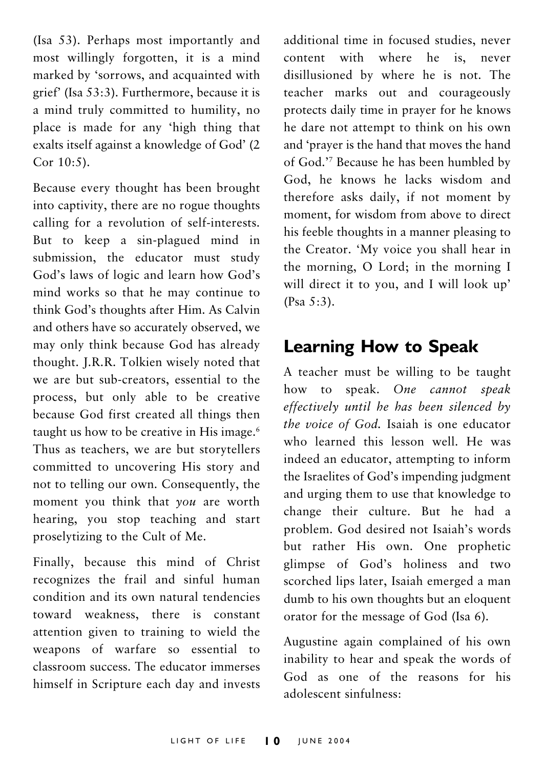(Isa 53). Perhaps most importantly and most willingly forgotten, it is a mind marked by 'sorrows, and acquainted with grief' (Isa 53:3). Furthermore, because it is a mind truly committed to humility, no place is made for any 'high thing that exalts itself against a knowledge of God' (2 Cor 10:5).

Because every thought has been brought into captivity, there are no rogue thoughts calling for a revolution of self-interests. But to keep a sin-plagued mind in submission, the educator must study God's laws of logic and learn how God's mind works so that he may continue to think God's thoughts after Him. As Calvin and others have so accurately observed, we may only think because God has already thought. J.R.R. Tolkien wisely noted that we are but sub-creators, essential to the process, but only able to be creative because God first created all things then taught us how to be creative in His image.<sup>6</sup> Thus as teachers, we are but storytellers committed to uncovering His story and not to telling our own. Consequently, the moment you think that you are worth hearing, you stop teaching and start proselytizing to the Cult of Me.

Finally, because this mind of Christ recognizes the frail and sinful human condition and its own natural tendencies toward weakness, there is constant attention given to training to wield the weapons of warfare so essential to classroom success. The educator immerses himself in Scripture each day and invests additional time in focused studies, never content with where he is, never disillusioned by where he is not. The teacher marks out and courageously protects daily time in prayer for he knows he dare not attempt to think on his own and 'prayer is the hand that moves the hand of God.'7 Because he has been humbled by God, he knows he lacks wisdom and therefore asks daily, if not moment by moment, for wisdom from above to direct his feeble thoughts in a manner pleasing to the Creator. 'My voice you shall hear in the morning, O Lord; in the morning I will direct it to you, and I will look up'  $(Psa 5:3)$ .

### **Learning How to Speak**

A teacher must be willing to be taught how to speak. One cannot speak effectively until he has been silenced by the voice of God. Isaiah is one educator who learned this lesson well. He was indeed an educator, attempting to inform the Israelites of God's impending judgment and urging them to use that knowledge to change their culture. But he had a problem. God desired not Isaiah's words but rather His own. One prophetic glimpse of God's holiness and two scorched lips later, Isaiah emerged a man dumb to his own thoughts but an eloquent orator for the message of God (Isa 6).

Augustine again complained of his own inability to hear and speak the words of God as one of the reasons for his adolescent sinfulness: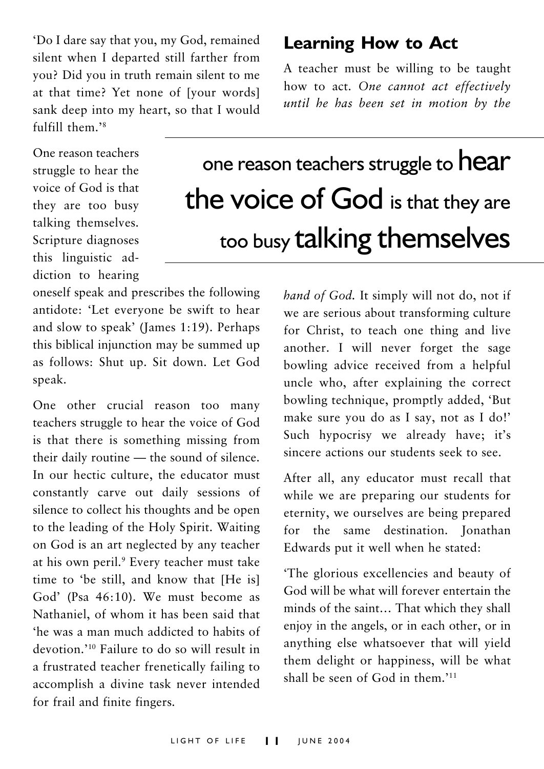'Do I dare say that you, my God, remained silent when I departed still farther from vou? Did vou in truth remain silent to me at that time? Yet none of [your words] sank deep into my heart, so that I would  $fulfill them$ <sup>28</sup>

One reason teachers struggle to hear the voice of God is that they are too busy talking themselves. Scripture diagnoses this linguistic addiction to hearing

### **Learning How to Act**

A teacher must be willing to be taught how to act. One cannot act effectively until he has been set in motion by the

## one reason teachers struggle to hear the voice of God is that they are too busy talking themselves

oneself speak and prescribes the following antidote: 'Let everyone be swift to hear and slow to speak' (James 1:19). Perhaps this biblical injunction may be summed up as follows: Shut up. Sit down. Let God speak.

One other crucial reason too many teachers struggle to hear the voice of God is that there is something missing from their daily routine — the sound of silence. In our hectic culture, the educator must constantly carve out daily sessions of silence to collect his thoughts and be open to the leading of the Holy Spirit. Waiting on God is an art neglected by any teacher at his own peril.<sup>9</sup> Every teacher must take time to 'be still, and know that [He is] God' (Psa 46:10). We must become as Nathaniel, of whom it has been said that 'he was a man much addicted to habits of devotion.'<sup>10</sup> Failure to do so will result in a frustrated teacher frenetically failing to accomplish a divine task never intended for frail and finite fingers.

hand of God. It simply will not do, not if we are serious about transforming culture for Christ, to teach one thing and live another. I will never forget the sage bowling advice received from a helpful uncle who, after explaining the correct bowling technique, promptly added, 'But make sure you do as I say, not as I do!' Such hypocrisy we already have; it's sincere actions our students seek to see

After all, any educator must recall that while we are preparing our students for eternity, we ourselves are being prepared for the same destination. Ionathan Edwards put it well when he stated:

'The glorious excellencies and beauty of God will be what will forever entertain the minds of the saint... That which they shall enjoy in the angels, or in each other, or in anything else whatsoever that will yield them delight or happiness, will be what shall be seen of God in them '11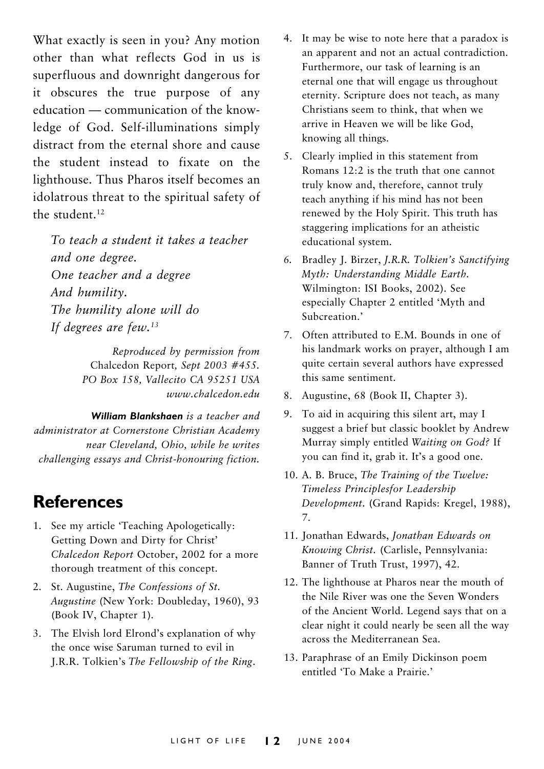What exactly is seen in you? Any motion other than what reflects God in us is superfluous and downright dangerous for it obscures the true purpose of any education — communication of the knowledge of God. Self-illuminations simply distract from the eternal shore and cause the student instead to fixate on the lighthouse. Thus Pharos itself becomes an idolatrous threat to the spiritual safety of the student.<sup>12</sup>

To teach a student it takes a teacher and one degree. One teacher and a degree And humility. The humility alone will do If degrees are few. $13$ 

> Reproduced by permission from Chalcedon Report, Sept 2003 #455. PO Box 158, Vallecito CA 95251 USA www.chalcedon.edu

William Blankshaen is a teacher and administrator at Cornerstone Christian Academy near Cleveland, Ohio, while he writes challenging essays and Christ-honouring fiction.

#### **References**

- 1. See my article 'Teaching Apologetically: Getting Down and Dirty for Christ' Chalcedon Report October, 2002 for a more thorough treatment of this concept.
- 2. St. Augustine, The Confessions of St. Augustine (New York: Doubleday, 1960), 93 (Book IV, Chapter 1).
- 3. The Elvish lord Elrond's explanation of why the once wise Saruman turned to evil in J.R.R. Tolkien's The Fellowship of the Ring.
- 4. It may be wise to note here that a paradox is an apparent and not an actual contradiction. Furthermore, our task of learning is an eternal one that will engage us throughout eternity. Scripture does not teach, as many Christians seem to think, that when we arrive in Heaven we will be like God. knowing all things.
- 5. Clearly implied in this statement from Romans 12:2 is the truth that one cannot truly know and, therefore, cannot truly teach anything if his mind has not been renewed by the Holy Spirit. This truth has staggering implications for an atheistic educational system.
- 6. Bradley J. Birzer, J.R.R. Tolkien's Sanctifying Myth: Understanding Middle Earth. Wilmington: ISI Books, 2002). See especially Chapter 2 entitled 'Myth and Subcreation.'
- 7. Often attributed to E.M. Bounds in one of his landmark works on prayer, although I am quite certain several authors have expressed this same sentiment.
- 8. Augustine, 68 (Book II, Chapter 3).
- 9. To aid in acquiring this silent art, may I suggest a brief but classic booklet by Andrew Murray simply entitled Waiting on God? If you can find it, grab it. It's a good one.
- 10. A. B. Bruce, The Training of the Twelve: Timeless Principlesfor Leadership Development. (Grand Rapids: Kregel, 1988), 7.
- 11. Jonathan Edwards, Jonathan Edwards on Knowing Christ. (Carlisle, Pennsylvania: Banner of Truth Trust, 1997), 42.
- 12. The lighthouse at Pharos near the mouth of the Nile River was one the Seven Wonders of the Ancient World. Legend says that on a clear night it could nearly be seen all the way across the Mediterranean Sea.
- 13. Paraphrase of an Emily Dickinson poem entitled 'To Make a Prairie.'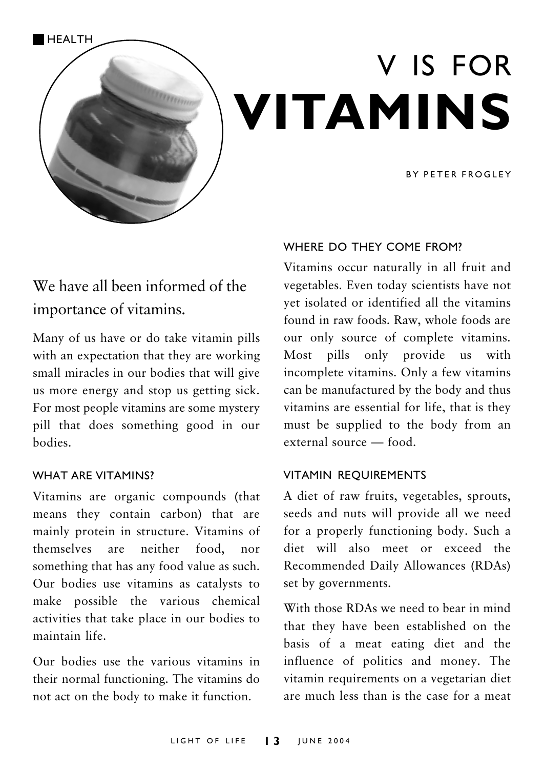

# V IS FOR VITAMINS

**RY PETER FROGLEY** 

### We have all been informed of the importance of vitamins.

Many of us have or do take vitamin pills with an expectation that they are working small miracles in our bodies that will give us more energy and stop us getting sick. For most people vitamins are some mystery pill that does something good in our hodies

#### **WHAT ARF VITAMINS?**

Vitamins are organic compounds (that means they contain carbon) that are mainly protein in structure. Vitamins of themselves are neither food.  $nor$ something that has any food value as such. Our bodies use vitamins as catalysts to make possible the various chemical activities that take place in our bodies to maintain life.

Our bodies use the various vitamins in their normal functioning. The vitamins do not act on the body to make it function.

#### WHERE DO THEY COME FROM?

Vitamins occur naturally in all fruit and vegetables. Even today scientists have not vet isolated or identified all the vitamins found in raw foods. Raw, whole foods are our only source of complete vitamins. Most pills only provide us with incomplete vitamins. Only a few vitamins can be manufactured by the body and thus vitamins are essential for life, that is they must be supplied to the body from an external source — food.

#### **VITAMIN REOUIREMENTS**

A diet of raw fruits, vegetables, sprouts, seeds and nuts will provide all we need for a properly functioning body. Such a diet will also meet or exceed the Recommended Daily Allowances (RDAs) set by governments.

With those RDAs we need to bear in mind that they have been established on the basis of a meat eating diet and the influence of politics and money. The vitamin requirements on a vegetarian diet are much less than is the case for a meat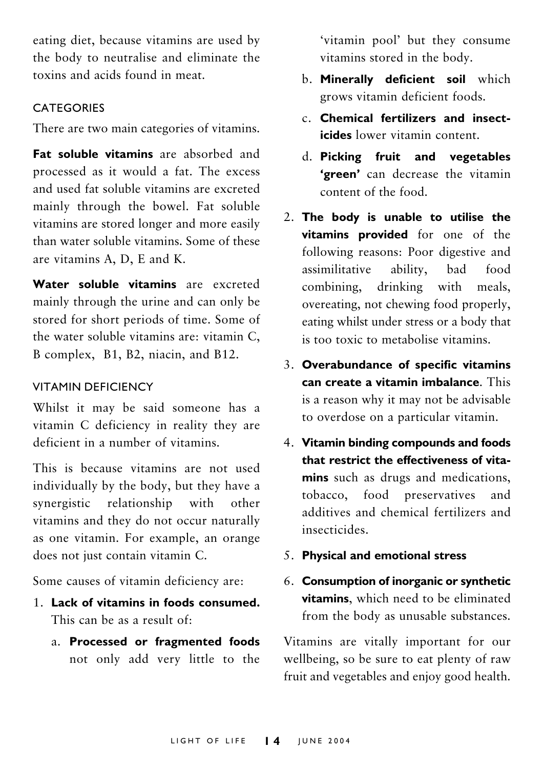eating diet, because vitamins are used by the body to neutralise and eliminate the toxins and acids found in meat.

#### **CATEGORIES**

There are two main categories of vitamins.

Eat soluble vitamins are absorbed and processed as it would a fat. The excess and used fat soluble vitamins are excreted mainly through the bowel. Fat soluble vitamins are stored longer and more easily than water soluble vitamins. Some of these are vitamins A. D. E and K.

Water soluble vitamins are excreted mainly through the urine and can only be stored for short periods of time. Some of the water soluble vitamins are: vitamin C. B complex, B1, B2, niacin, and B12.

#### **VITAMIN DEFICIENCY**

Whilst it may be said someone has a vitamin C deficiency in reality they are deficient in a number of vitamins

This is because vitamins are not used individually by the body, but they have a synergistic relationship with other vitamins and they do not occur naturally as one vitamin. For example, an orange does not just contain vitamin C.

Some causes of vitamin deficiency are:

- 1 Lack of vitamins in foods consumed. This can be as a result of
	- a. Processed or fragmented foods not only add very little to the

'vitamin pool' but they consume vitamins stored in the body.

- b. Minerally deficient soil which grows vitamin deficient foods.
- Chemical fertilizers and insect*icides* lower vitamin content
- d. Picking fruit and vegetables 'green' can decrease the vitamin content of the food
- 2. The body is unable to utilise the vitamins provided for one of the following reasons: Poor digestive and assimilitative ability. had  $food$ combining, drinking with meals, overeating, not chewing food properly, eating whilst under stress or a body that is too toxic to metabolise vitamins.
- 3. Overabundance of specific vitamins can create a vitamin imbalance. This is a reason why it may not be advisable to overdose on a particular vitamin.
- 4. Vitamin binding compounds and foods that restrict the effectiveness of vitamins such as drugs and medications. tobacco, food preservatives and additives and chemical fertilizers and insecticides
- 5. Physical and emotional stress
- 6. Consumption of inorganic or synthetic vitamins, which need to be eliminated from the body as unusable substances.

Vitamins are vitally important for our wellbeing, so be sure to eat plenty of raw fruit and vegetables and enjoy good health.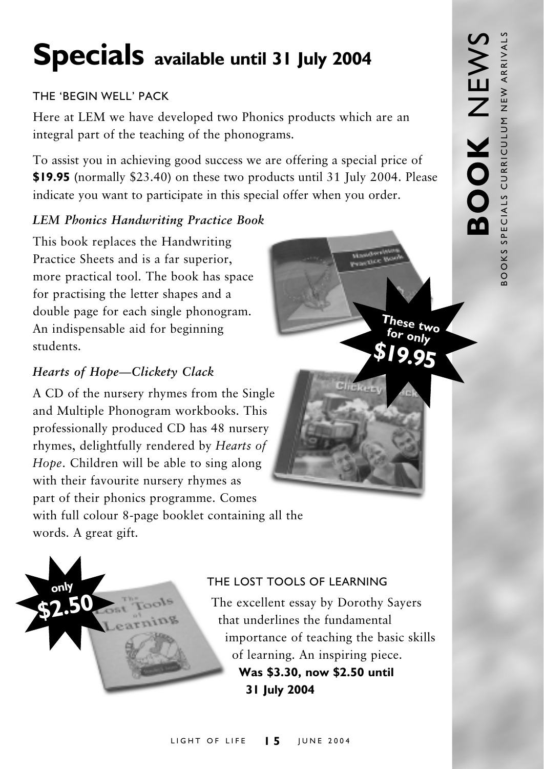## Specials available until 31 July 2004

#### THE 'REGIN WELL' PACK

Here at LEM we have developed two Phonics products which are an integral part of the teaching of the phonograms.

To assist you in achieving good success we are offering a special price of \$19.95 (normally \$23.40) on these two products until 31 July 2004. Please indicate you want to participate in this special offer when you order.

#### **LEM Phonics Handwriting Practice Book**

This book replaces the Handwriting Practice Sheets and is a far superior, more practical tool. The book has space for practising the letter shapes and a double page for each single phonogram. An indispensable aid for beginning students

#### Hearts of Hope-Clickety Clack

A CD of the nursery rhymes from the Single and Multiple Phonogram workbooks. This professionally produced CD has 48 nursery rhymes, delightfully rendered by Hearts of Hope. Children will be able to sing along with their favourite nursery rhymes as part of their phonics programme. Comes with full colour 8-page booklet containing all the words. A great gift.



#### THE LOST TOOLS OF LEARNING

The excellent essay by Dorothy Sayers that underlines the fundamental importance of teaching the basic skills of learning. An inspiring piece. Was \$3.30, now \$2.50 until 31 July 2004

These two

or only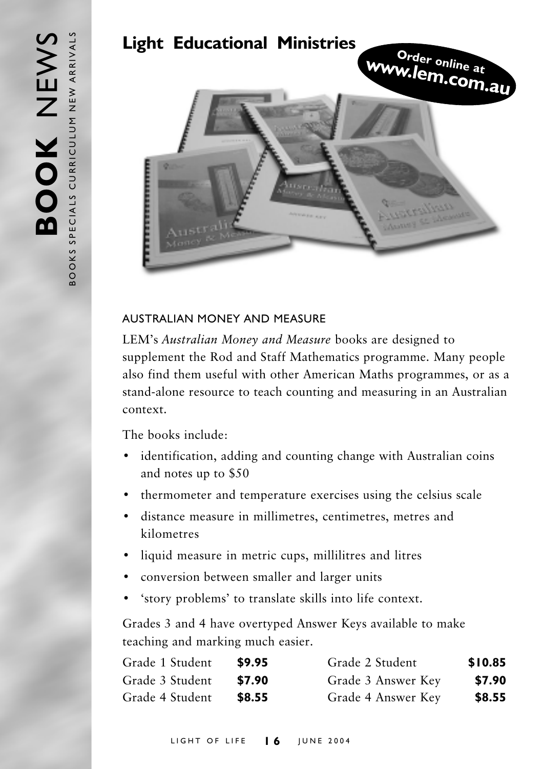

#### AUSTRALIAN MONFY AND MEASURE

LEM's Australian Money and Measure books are designed to supplement the Rod and Staff Mathematics programme. Many people also find them useful with other American Maths programmes, or as a stand-alone resource to teach counting and measuring in an Australian context.

The books include:

- identification, adding and counting change with Australian coins and notes up to \$50
- thermometer and temperature exercises using the celsius scale
- · distance measure in millimetres, centimetres, metres and kilometres
- · liquid measure in metric cups, millilitres and litres
- conversion between smaller and larger units
- 'story problems' to translate skills into life context.

Grades 3 and 4 have overtyped Answer Keys available to make teaching and marking much easier.

| Grade 1 Student | \$9.95 | Grade 2 Student    | \$10.85 |
|-----------------|--------|--------------------|---------|
| Grade 3 Student | \$7.90 | Grade 3 Answer Key | \$7.90  |
| Grade 4 Student | \$8.55 | Grade 4 Answer Key | \$8.55  |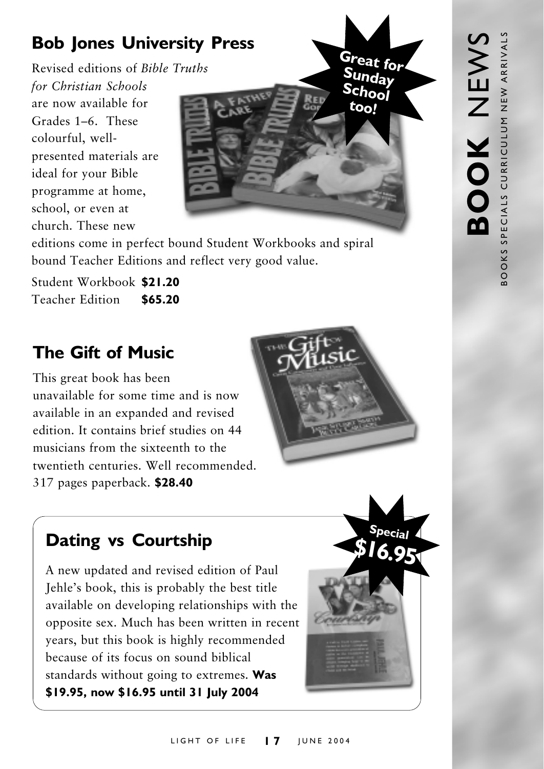## **Bob Jones University Press**

Revised editions of Bible Truths for Christian Schools are now available for Grades 1-6 These colourful, wellpresented materials are ideal for your Bible programme at home, school, or even at church These new



editions come in perfect bound Student Workbooks and spiral bound Teacher Editions and reflect very good value.

Student Workbook \$21.20 Teacher Edition \$65.20

## **The Gift of Music**

This great book has been unavailable for some time and is now available in an expanded and revised edition. It contains brief studies on 44 musicians from the sixteenth to the twentieth centuries. Well recommended. 317 pages paperback. \$28.40



### **Dating vs Courtship**

A new updated and revised edition of Paul Jehle's book, this is probably the best title available on developing relationships with the opposite sex. Much has been written in recent years, but this book is highly recommended because of its focus on sound biblical standards without going to extremes. Was \$19.95, now \$16.95 until 31 July 2004

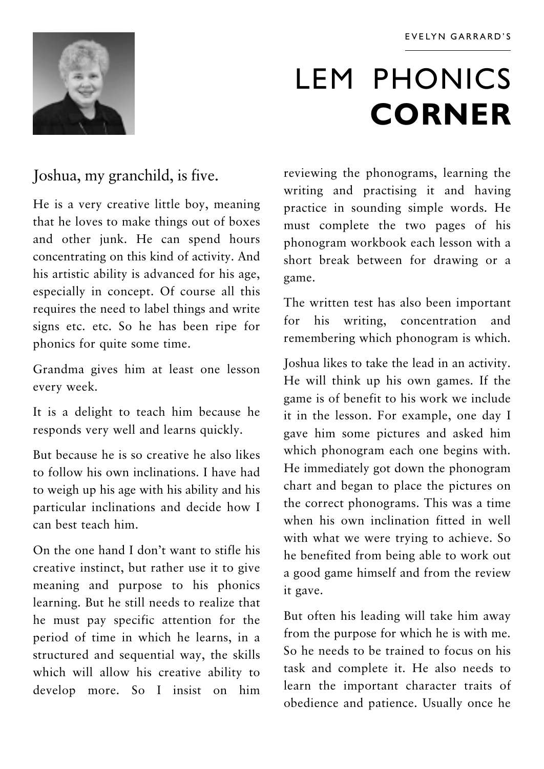

## **LEM PHONICS CORNER**

#### Joshua, my granchild, is five.

He is a very creative little boy, meaning that he loves to make things out of boxes and other junk. He can spend hours concentrating on this kind of activity. And his artistic ability is advanced for his age, especially in concept. Of course all this requires the need to label things and write signs etc. etc. So he has been ripe for phonics for quite some time.

Grandma gives him at least one lesson every week.

It is a delight to teach him because he responds very well and learns quickly.

But because he is so creative he also likes to follow his own inclinations I have had to weigh up his age with his ability and his particular inclinations and decide how I can hest teach him

On the one hand I don't want to stifle his creative instinct, but rather use it to give meaning and purpose to his phonics learning. But he still needs to realize that he must pay specific attention for the period of time in which he learns, in a structured and sequential way, the skills which will allow his creative ability to develop more. So I insist on him

reviewing the phonograms, learning the writing and practising it and having practice in sounding simple words. He must complete the two pages of his phonogram workbook each lesson with a short break between for drawing or a game.

The written test has also been important for his writing, concentration and remembering which phonogram is which.

Joshua likes to take the lead in an activity. He will think up his own games. If the game is of benefit to his work we include it in the lesson. For example, one day I gave him some pictures and asked him which phonogram each one begins with. He immediately got down the phonogram chart and began to place the pictures on the correct phonograms. This was a time when his own inclination fitted in well with what we were trying to achieve. So he benefited from being able to work out a good game himself and from the review it gave.

But often his leading will take him away from the purpose for which he is with me. So he needs to be trained to focus on his task and complete it. He also needs to learn the important character traits of obedience and patience. Usually once he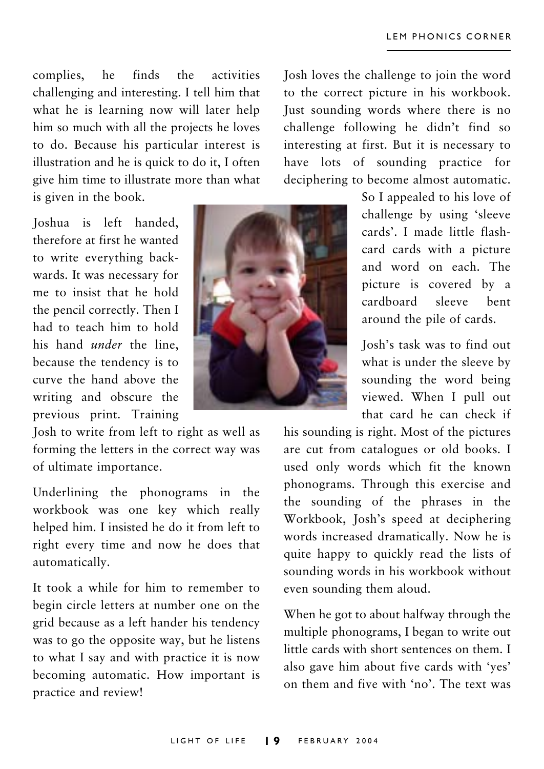complies, he finds the activities challenging and interesting. I tell him that what he is learning now will later help him so much with all the projects he loves to do. Because his particular interest is illustration and he is quick to do it, I often give him time to illustrate more than what is given in the book.

Ioshua is left handed. therefore at first he wanted to write everything backwards. It was necessary for me to insist that he hold the pencil correctly. Then I had to teach him to hold his hand *under* the line, because the tendency is to curve the hand above the writing and obscure the previous print. Training

Josh to write from left to right as well as forming the letters in the correct way was of ultimate importance.

Underlining the phonograms in the workbook was one key which really helped him. I insisted he do it from left to right every time and now he does that automatically.

It took a while for him to remember to begin circle letters at number one on the grid because as a left hander his tendency was to go the opposite way, but he listens to what I say and with practice it is now becoming automatic. How important is practice and review!



Josh loves the challenge to join the word to the correct picture in his workbook. Just sounding words where there is no challenge following he didn't find so interesting at first. But it is necessary to have lots of sounding practice for deciphering to become almost automatic.

> So I appealed to his love of challenge by using 'sleeve cards'. I made little flashcard cards with a picture and word on each. The picture is covered by a cardboard sleeve hent around the pile of cards.

> Josh's task was to find out what is under the sleeve by sounding the word being viewed. When I pull out that card he can check if

his sounding is right. Most of the pictures are cut from catalogues or old books. I used only words which fit the known phonograms. Through this exercise and the sounding of the phrases in the Workbook, Josh's speed at deciphering words increased dramatically. Now he is quite happy to quickly read the lists of sounding words in his workbook without even sounding them aloud.

When he got to about halfway through the multiple phonograms, I began to write out little cards with short sentences on them. I also gave him about five cards with 'ves' on them and five with 'no'. The text was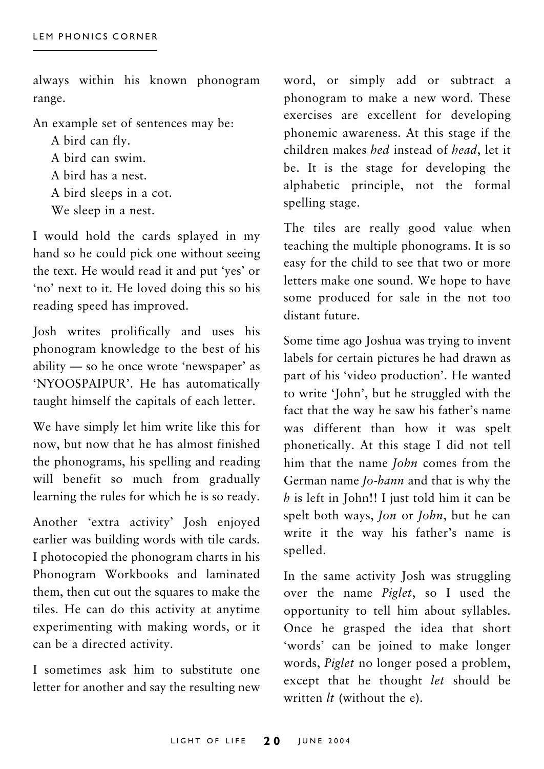always within his known phonogram range.

An example set of sentences may be:

A bird can flv. A bird can swim. A bird has a nest. A bird sleeps in a cot. We sleep in a nest.

I would hold the cards splayed in my hand so he could pick one without seeing the text. He would read it and put 'yes' or 'no' next to it. He loved doing this so his reading speed has improved.

Iosh writes prolifically and uses his phonogram knowledge to the best of his ability — so he once wrote 'newspaper' as 'NYOOSPAIPUR'. He has automatically taught himself the capitals of each letter.

We have simply let him write like this for now, but now that he has almost finished the phonograms, his spelling and reading will benefit so much from gradually learning the rules for which he is so ready.

Another 'extra activity' Josh enjoyed earlier was building words with tile cards. I photocopied the phonogram charts in his Phonogram Workbooks and laminated them, then cut out the squares to make the tiles. He can do this activity at anytime experimenting with making words, or it can be a directed activity.

I sometimes ask him to substitute one letter for another and say the resulting new word, or simply add or subtract a phonogram to make a new word. These exercises are excellent for developing phonemic awareness. At this stage if the children makes *hed* instead of *head*, let it be. It is the stage for developing the alphabetic principle, not the formal spelling stage.

The tiles are really good value when teaching the multiple phonograms. It is so easy for the child to see that two or more letters make one sound. We hope to have some produced for sale in the not too distant future

Some time ago Joshua was trying to invent labels for certain pictures he had drawn as part of his 'video production'. He wanted to write 'John', but he struggled with the fact that the way he saw his father's name was different than how it was spelt phonetically. At this stage I did not tell him that the name *John* comes from the German name Jo-hann and that is why the  $h$  is left in John!! I just told him it can be spelt both ways, *Jon* or *John*, but he can write it the way his father's name is spelled.

In the same activity Josh was struggling over the name Piglet, so I used the opportunity to tell him about syllables. Once he grasped the idea that short 'words' can be joined to make longer words, Piglet no longer posed a problem, except that he thought let should be written  $lt$  (without the e).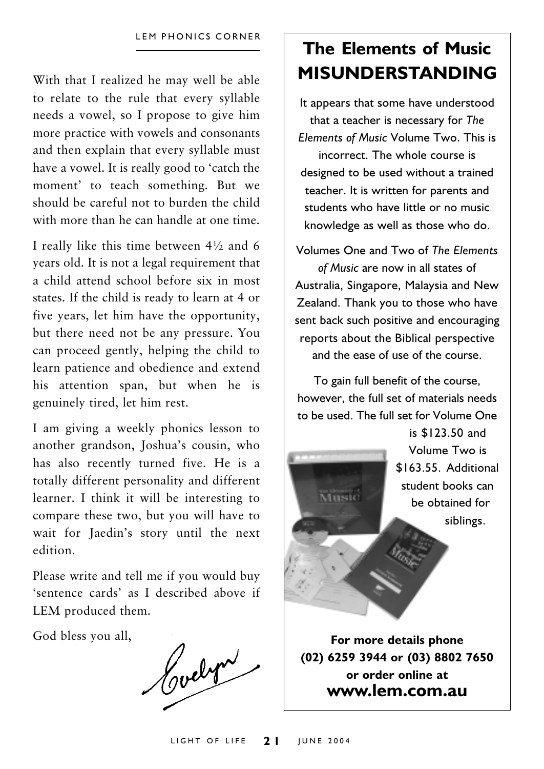With that I realized he may well be able to relate to the rule that every syllable needs a vowel, so I propose to give him more practice with yowels and consonants and then explain that every syllable must have a vowel. It is really good to 'catch the moment' to teach something. But we should be careful not to burden the child with more than he can handle at one time

I really like this time between  $4\frac{1}{2}$  and 6 years old. It is not a legal requirement that a child attend school before six in most states. If the child is ready to learn at 4 or five years, let him have the opportunity, but there need not be any pressure. You can proceed gently, helping the child to learn patience and obedience and extend his attention span, but when he is genuinely tired, let him rest.

I am giving a weekly phonics lesson to another grandson, Joshua's cousin, who has also recently turned five. He is a totally different personality and different learner. I think it will be interesting to compare these two, but you will have to wait for Jaedin's story until the next edition

Please write and tell me if you would buy 'sentence cards' as I described above if LEM produced them.

God bless you all,

Hovelyn

## The Flements of Music **MISUNDERSTANDING**

It appears that some have understood that a teacher is necessary for The Elements of Music Volume Two. This is incorrect. The whole course is designed to be used without a trained teacher. It is written for parents and students who have little or no music knowledge as well as those who do.

Volumes One and Two of The Flements of Music are now in all states of Australia, Singapore, Malaysia and New Zealand. Thank you to those who have sent back such positive and encouraging reports about the Biblical perspective and the ease of use of the course

To gain full benefit of the course, however, the full set of materials needs to be used. The full set for Volume One



(02) 6259 3944 or (03) 8802 7650 or order online at www.lem.com.au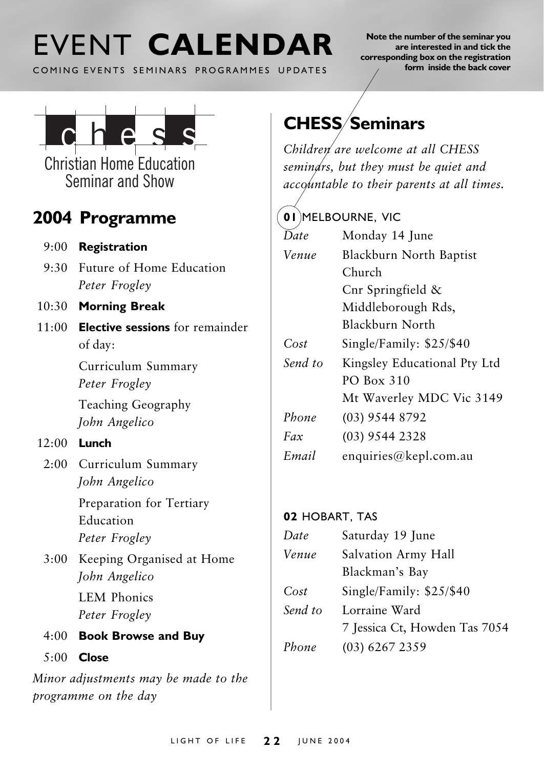## FVENT CALENDAR

COMING EVENTS SEMINARS PROGRAMMES UPDATES

Note the number of the seminar you are interested in and tick the corresponding box on the registration form inside the back cover



**Christian Home Education** Seminar and Show

### 2004 Programme

- $9:00$  Registration
- 9:30 Future of Home Education Peter Frogley
- 10:30 Morning Break
- $11(00)$  Elective sessions for remainder of day:

Curriculum Summary Peter Frogley

Teaching Geography John Angelico

- $12:00$  Lunch
	- 2:00 Curriculum Summary John Angelico

Preparation for Tertiary Education Peter Frogley

3:00 Keeping Organised at Home John Angelico

> **LEM Phonics** Peter Frogley

- 4:00 Book Browse and Buy
- $5:00$  Close

Minor adjustments may be made to the programme on the day

## **CHESS/Seminars**

Children are welcome at all CHESS semindrs, but they must be quiet and accountable to their parents at all times.

#### (01)MELBOURNE, VIC

| Date    | Monday 14 June               |  |
|---------|------------------------------|--|
| Venue   | Blackburn North Baptist      |  |
|         | Church                       |  |
|         | Cnr Springfield $\&$         |  |
|         | Middleborough Rds,           |  |
|         | Blackburn North              |  |
| Cost    | Single/Family: \$25/\$40     |  |
| Send to | Kingsley Educational Pty Ltd |  |
|         | PO Box 310                   |  |
|         | Mt Waverley MDC Vic 3149     |  |
| Phone   | (03) 9544 8792               |  |
| Fax     | $(03)$ 9544 2328             |  |
| Email   | enquiries@kepl.com.au        |  |

#### 02 HOBART, TAS

| Date    | Saturday 19 June              |  |
|---------|-------------------------------|--|
| Venue   | Salvation Army Hall           |  |
|         | Blackman's Bay                |  |
| Cost    | Single/Family: \$25/\$40      |  |
| Send to | Lorraine Ward                 |  |
|         | 7 Jessica Ct, Howden Tas 7054 |  |
| Phone   | $(03)$ 6267 2359              |  |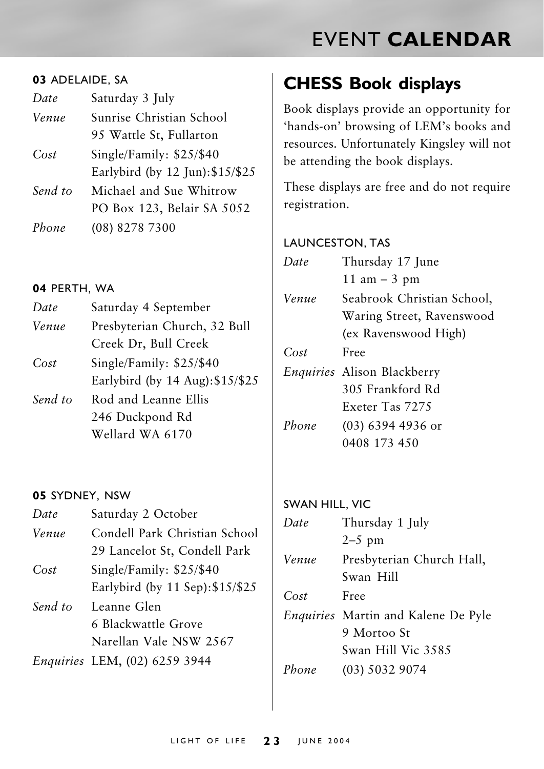## **EVENT CALENDAR**

#### 03 ADELAIDE, SA

| Date    | Saturday 3 July                  |  |
|---------|----------------------------------|--|
| Venue   | Sunrise Christian School         |  |
|         | 95 Wattle St, Fullarton          |  |
| Cost    | Single/Family: \$25/\$40         |  |
|         | Earlybird (by 12 Jun): \$15/\$25 |  |
| Send to | Michael and Sue Whitrow          |  |
|         | PO Box 123, Belair SA 5052       |  |
| Phone   | (08) 8278 7300                   |  |
|         |                                  |  |

#### 04 PERTH, WA

| Date    | Saturday 4 September             |  |
|---------|----------------------------------|--|
| Venue   | Presbyterian Church, 32 Bull     |  |
|         | Creek Dr, Bull Creek             |  |
| Cost    | Single/Family: $$25/$40$         |  |
|         | Earlybird (by 14 Aug): \$15/\$25 |  |
| Send to | Rod and Leanne Ellis             |  |
|         | 246 Duckpond Rd                  |  |
|         | Wellard WA 6170                  |  |

#### 05 SYDNEY, NSW

| Date    | Saturday 2 October               |
|---------|----------------------------------|
| Venue   | Condell Park Christian School    |
|         | 29 Lancelot St, Condell Park     |
| Cost    | Single/Family: \$25/\$40         |
|         | Earlybird (by 11 Sep): \$15/\$25 |
| Send to | Leanne Glen                      |
|         | 6 Blackwattle Grove              |
|         | Narellan Vale NSW 2567           |
|         | Enquiries LEM, (02) 6259 3944    |
|         |                                  |

### **CHESS Book displays**

Book displays provide an opportunity for 'hands-on' browsing of LEM's books and resources. Unfortunately Kingsley will not be attending the book displays.

These displays are free and do not require registration.

#### **LAUNCESTON, TAS**

| $1)$ ate | Thursday 17 June                   |
|----------|------------------------------------|
|          | $11 \text{ am} - 3 \text{ pm}$     |
| Venue    | Seabrook Christian School,         |
|          | Waring Street, Ravenswood          |
|          | (ex Ravenswood High)               |
| Cost     | Free                               |
|          | <i>Enquiries</i> Alison Blackberry |
|          | 305 Frankford Rd                   |
|          | Exeter Tas 7275                    |
| Phone    | (03) 6394 4936 or                  |
|          | 0408 173 450                       |
|          |                                    |

#### **SWAN HILL, VIC**

| Date  | Thursday 1 July                            |  |
|-------|--------------------------------------------|--|
|       | $2-5$ pm                                   |  |
| Venue | Presbyterian Church Hall,                  |  |
|       | Swan Hill                                  |  |
| Cost  | Free                                       |  |
|       | <i>Enquiries</i> Martin and Kalene De Pyle |  |
|       | 9 Mortoo St                                |  |
|       | Swan Hill Vic 3585                         |  |
| Phone | $(03)$ 5032 9074                           |  |
|       |                                            |  |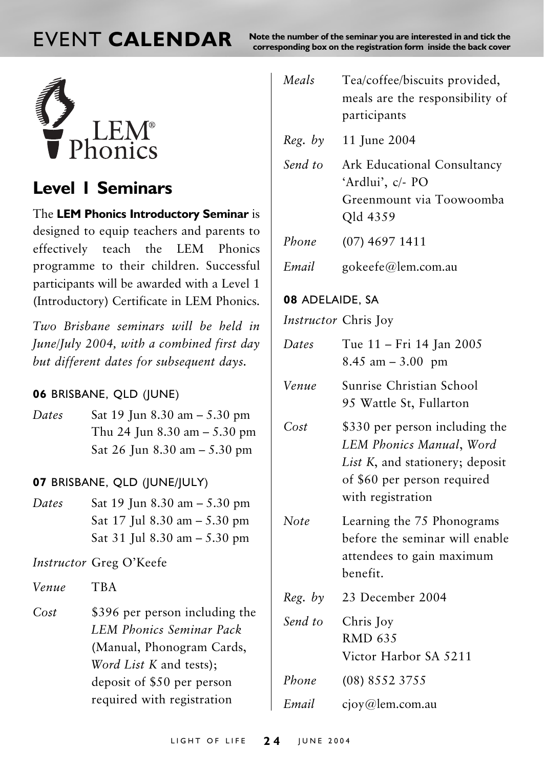## **FVENT CALENDAR**

Note the number of the seminar you are interested in and tick the corresponding box on the registration form inside the back cover



### **Level I Seminars**

The LEM Phonics Introductory Seminar is designed to equip teachers and parents to effectively teach the LEM Phonics programme to their children. Successful participants will be awarded with a Level 1 (Introductory) Certificate in LEM Phonics.

Two Brishane seminars will be held in  $Iune/Iulv 2004$ , with a combined first day but different dates for subsequent days.

#### 06 BRISBANE, OLD (JUNE)

Dates Sat 19 Jun 8.30 am  $-$  5.30 pm Thu 24 Jun 8.30 am  $-$  5.30 pm Sat 26 Jun 8.30 am  $-$  5.30 pm

#### 07 BRISBANE, QLD (JUNE/JULY)

Sat 19 Jun 8.30 am - 5.30 pm Dates Sat 17 Jul 8.30 am - 5.30 pm Sat 31 Jul 8.30 am  $-$  5.30 pm

Instructor Greg O'Keefe

Venue **TBA** 

 $Cost$ \$396 per person including the **LEM Phonics Seminar Pack** (Manual, Phonogram Cards. Word List K and tests); deposit of \$50 per person required with registration

| Meals                       | Tea/coffee/biscuits provided,<br>meals are the responsibility of<br>participants        |
|-----------------------------|-----------------------------------------------------------------------------------------|
| Reg. by                     | 11 June 2004                                                                            |
| Send to                     | Ark Educational Consultancy<br>'Ardlui', c/- PO<br>Greenmount via Toowoomba<br>Qld 4359 |
| Phone                       | $(07)$ 4697 1411                                                                        |
| Email                       | gokeefe@lem.com.au                                                                      |
| 08 ADELAIDE, SA             |                                                                                         |
| <i>Instructor</i> Chris Joy |                                                                                         |
| Dates                       | Tue 11 – Fri 14 Jan 2005<br>$8.45$ am $-3.00$ pm                                        |

- Sunrise Christian School Vonuo 95 Wattle St. Fullarton
- $Cost$ \$330 per person including the LEM Phonics Manual, Word List K, and stationery; deposit of \$60 per person required with registration
- **Note** Learning the 75 Phonograms before the seminar will enable attendees to gain maximum henefit
- 23 December 2004  $Reg. by$
- Send to Chris Joy **RMD 635** Victor Harbor SA 5211
- Phone  $(08)$  8552 3755
- Email ciov@lem.com.au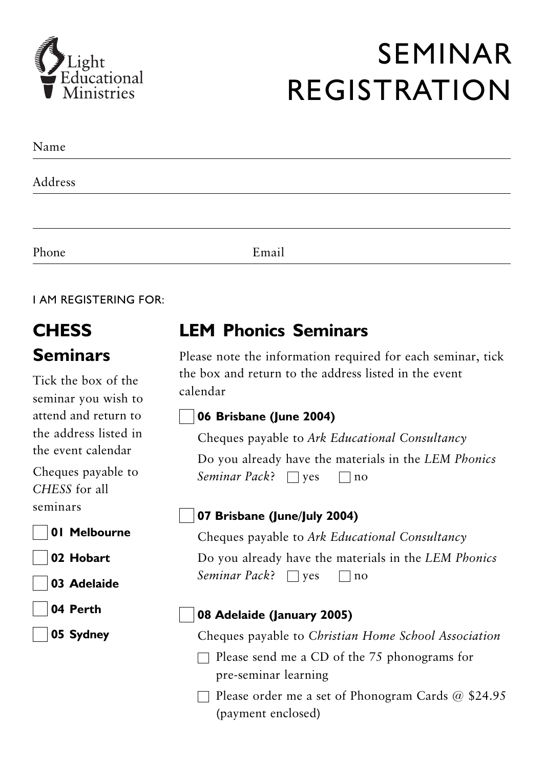

## **SEMINAR REGISTRATION**

| Name    |       |  |
|---------|-------|--|
| Address |       |  |
|         |       |  |
| Phone   | Email |  |

**LAM REGISTERING FOR:** 

## **CHESS Seminars**

Tick the box of the seminar vou wish to attend and return to the address listed in the event calendar

Cheques payable to CHESS for all seminars

- 01 Melbourne
- 02 Hobart
- 03 Adelaide
- 04 Perth

05 Sydney

### **I FM Phonics Seminars**

Please note the information required for each seminar, tick the box and return to the address listed in the event calendar

#### 06 Brisbane (June 2004)

Cheques payable to Ark Educational Consultancy

Do you already have the materials in the LEM Phonics Seminar Pack?  $\Box$  ves  $\Box$  no

#### 07 Brisbane (June/July 2004)

Cheques payable to Ark Educational Consultancy Do you already have the materials in the LEM Phonics Seminar Pack?  $\Box$  yes  $\Box$  no

#### 08 Adelaide (January 2005)

Cheques payable to Christian Home School Association

 $\Box$  Please send me a CD of the 75 phonograms for pre-seminar learning

 $\Box$  Please order me a set of Phonogram Cards @ \$24.95 (payment enclosed)